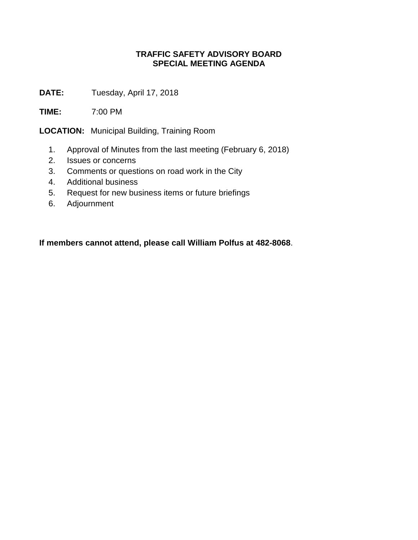## **TRAFFIC SAFETY ADVISORY BOARD SPECIAL MEETING AGENDA**

**DATE:** Tuesday, April 17, 2018

**TIME:** 7:00 PM

**LOCATION:** Municipal Building, Training Room

- 1. Approval of Minutes from the last meeting (February 6, 2018)
- 2. Issues or concerns
- 3. Comments or questions on road work in the City
- 4. Additional business
- 5. Request for new business items or future briefings
- 6. Adjournment

**If members cannot attend, please call William Polfus at 482-8068**.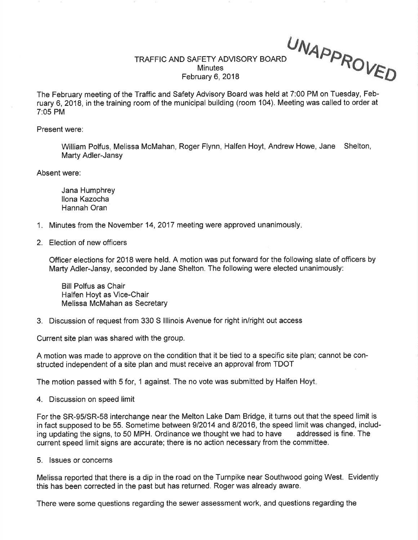TRAFFIC AND SAFETY ADVISORY BOARD **Minutes** February 6, 2018

UNA PPRo VED

The February meeting of the Tratfic and Safety Advisory Board was held at 7:00 PM on Tuesday, February 6, 2018, in the training room of the municipal building (room 104). Meeting was called to order at 7:05 PM

Present were:

William Polfus, Melissa McMahan, Roger Flynn, Halfen Hoyt, Andrew Howe, Jane Shelton, Marty Adler-Jansy

Absent were:

Jana Humphrey llona Kazocha Hannah Oran

- 1. Minutes from the November 14, 2017 meeting were approved unanimously.
- 2. Election of new officers

Officer elections for 2018 were held. A motion was put forward for the following slate of officers by Marty Adler-Jansy, seconded by Jane Shelton. The following were elected unanimously:

Bill Polfus as Chair Halfen Hoyt as Vice-Chair Melissa McMahan as Secretary

3. Discussion of request from 330 S lllinois Avenue for right in/right out access

Current site plan was shared with the group.

A motion was made to approve on the condition that it be tied to a specific site plan; cannot be constructed independent of a site plan and must receive an approval from TDOT

The motion passed with 5 for, 1 against. The no vote was submitted by Halfen Hoyt

4. Discussion on speed limit

For the SR-95/SR-58 interchange near the Melton Lake Dam Bridge, it turns out that the speed limit is in fact supposed to be 55. Sometime between 9/2014 and 8/2016, the speed limit was changed, includ-<br>ing updating the signs, to 50 MPH, Ordinance we thought we had to have addressed is fine. The ing updating the signs, to 50 MPH. Ordinance we thought we had to have current speed limit signs are accurate; there is no action necessary from the committee.

5. lssues or concerns

Melissa reported that there is a dip in the road on the Turnpike near Southwood going West. Evidently this has been corrected in the past but has returned. Roger was already aware.

There were some questions regarding the sewer assessment work, and questions regarding the